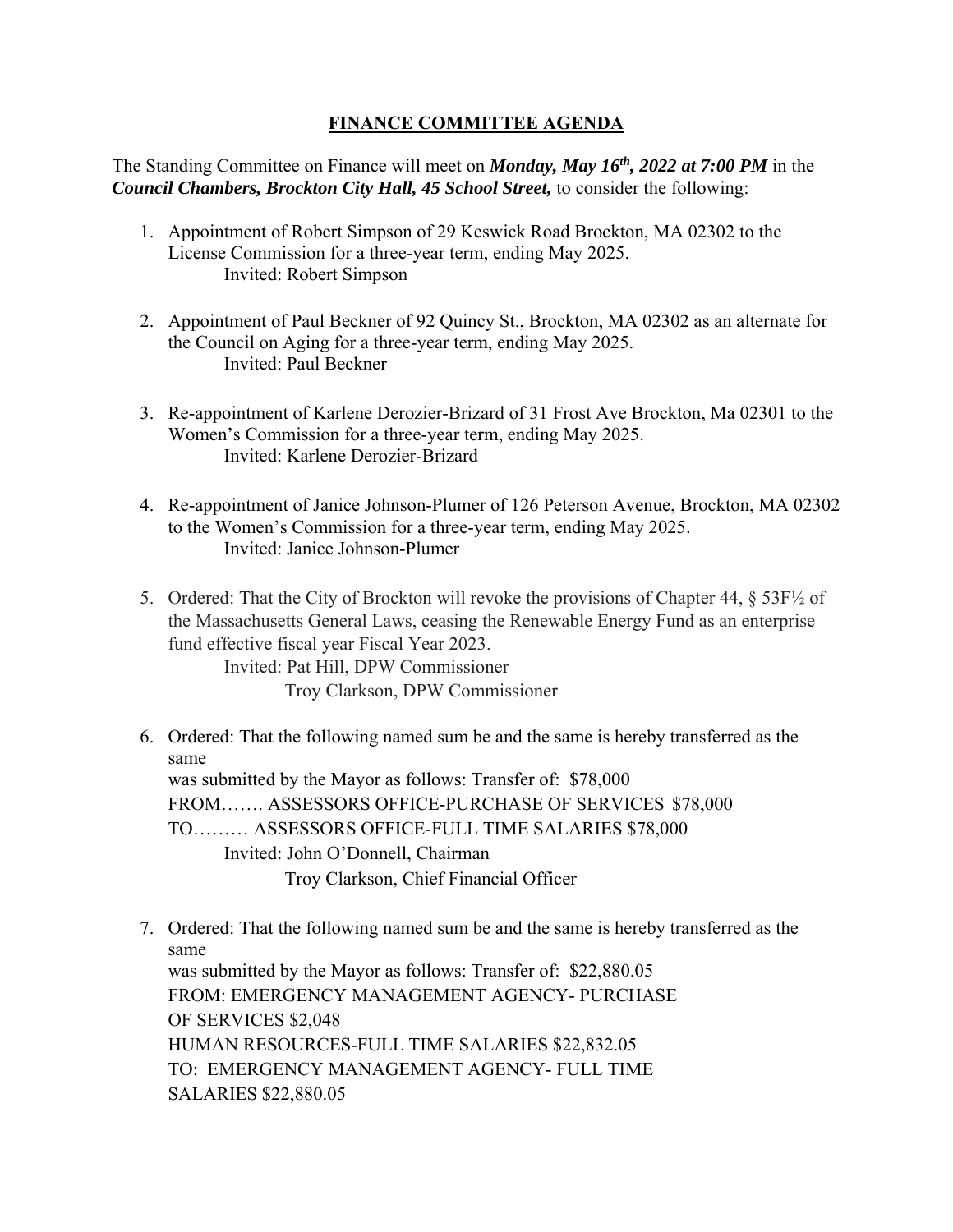## **FINANCE COMMITTEE AGENDA**

The Standing Committee on Finance will meet on *Monday, May 16th, 2022 at 7:00 PM* in the *Council Chambers, Brockton City Hall, 45 School Street,* to consider the following:

- 1. Appointment of Robert Simpson of 29 Keswick Road Brockton, MA 02302 to the License Commission for a three-year term, ending May 2025. Invited: Robert Simpson
- 2. Appointment of Paul Beckner of 92 Quincy St., Brockton, MA 02302 as an alternate for the Council on Aging for a three-year term, ending May 2025. Invited: Paul Beckner
- 3. Re-appointment of Karlene Derozier-Brizard of 31 Frost Ave Brockton, Ma 02301 to the Women's Commission for a three-year term, ending May 2025. Invited: Karlene Derozier-Brizard
- 4. Re-appointment of Janice Johnson-Plumer of 126 Peterson Avenue, Brockton, MA 02302 to the Women's Commission for a three-year term, ending May 2025. Invited: Janice Johnson-Plumer
- 5. Ordered: That the City of Brockton will revoke the provisions of Chapter 44, § 53F½ of the Massachusetts General Laws, ceasing the Renewable Energy Fund as an enterprise fund effective fiscal year Fiscal Year 2023.

Invited: Pat Hill, DPW Commissioner Troy Clarkson, DPW Commissioner

- same 6. Ordered: That the following named sum be and the same is hereby transferred as the was submitted by the Mayor as follows: Transfer of: \$78,000 FROM……. ASSESSORS OFFICE-PURCHASE OF SERVICES \$78,000 TO……… ASSESSORS OFFICE-FULL TIME SALARIES \$78,000 Invited: John O'Donnell, Chairman Troy Clarkson, Chief Financial Officer
- same 7. Ordered: That the following named sum be and the same is hereby transferred as the was submitted by the Mayor as follows: Transfer of: \$22,880.05 FROM: EMERGENCY MANAGEMENT AGENCY- PURCHASE OF SERVICES \$2,048 HUMAN RESOURCES-FULL TIME SALARIES \$22,832.05 TO: EMERGENCY MANAGEMENT AGENCY- FULL TIME SALARIES \$22,880.05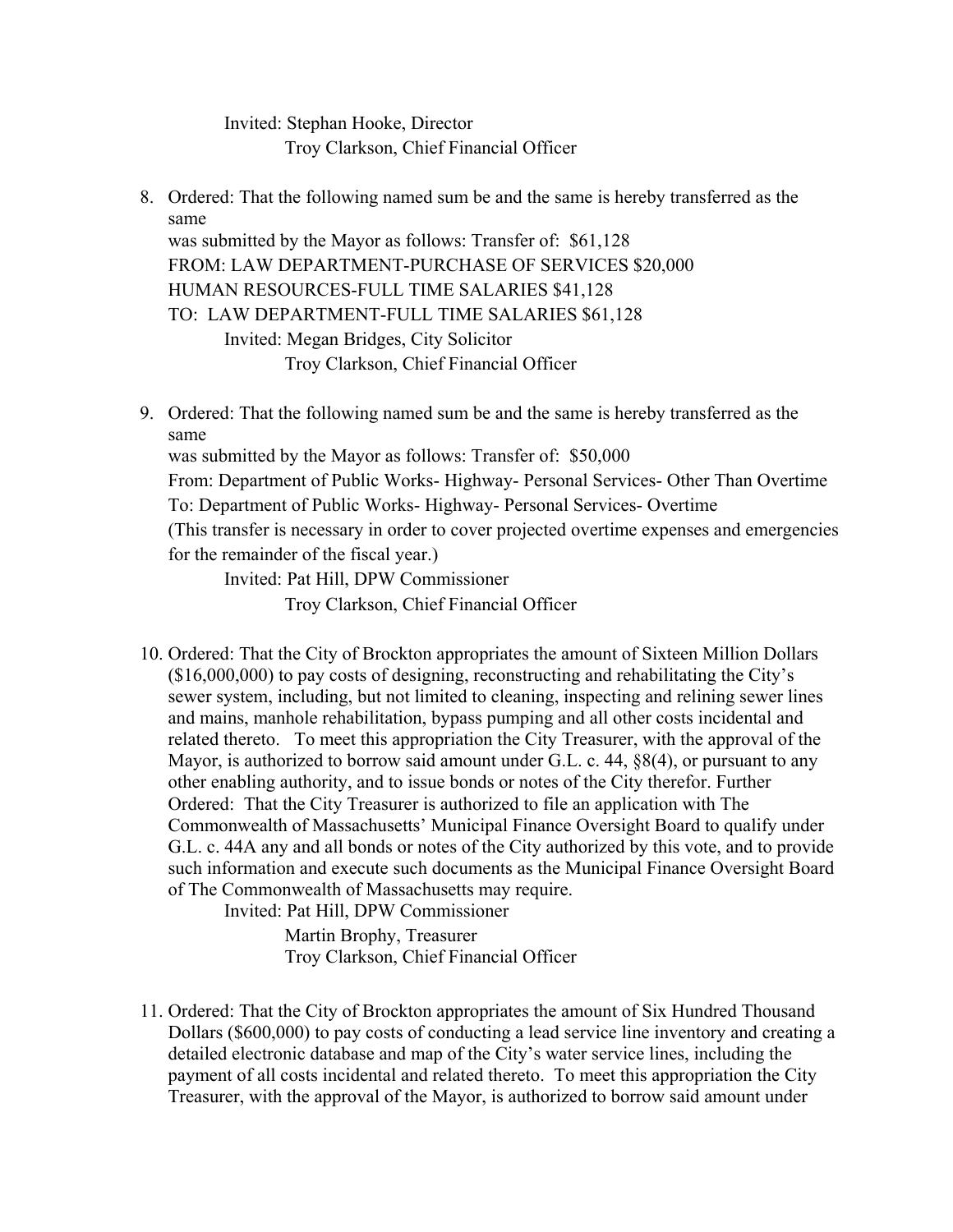Invited: Stephan Hooke, Director Troy Clarkson, Chief Financial Officer

- same 8. Ordered: That the following named sum be and the same is hereby transferred as the was submitted by the Mayor as follows: Transfer of: \$61,128 FROM: LAW DEPARTMENT-PURCHASE OF SERVICES \$20,000 HUMAN RESOURCES-FULL TIME SALARIES \$41,128 TO: LAW DEPARTMENT-FULL TIME SALARIES \$61,128 Invited: Megan Bridges, City Solicitor Troy Clarkson, Chief Financial Officer
- same 9. Ordered: That the following named sum be and the same is hereby transferred as the was submitted by the Mayor as follows: Transfer of: \$50,000 From: Department of Public Works- Highway- Personal Services- Other Than Overtime To: Department of Public Works- Highway- Personal Services- Overtime (This transfer is necessary in order to cover projected overtime expenses and emergencies for the remainder of the fiscal year.) Invited: Pat Hill, DPW Commissioner

Troy Clarkson, Chief Financial Officer

10. Ordered: That the City of Brockton appropriates the amount of Sixteen Million Dollars (\$16,000,000) to pay costs of designing, reconstructing and rehabilitating the City's sewer system, including, but not limited to cleaning, inspecting and relining sewer lines and mains, manhole rehabilitation, bypass pumping and all other costs incidental and related thereto. To meet this appropriation the City Treasurer, with the approval of the Mayor, is authorized to borrow said amount under G.L. c. 44, §8(4), or pursuant to any other enabling authority, and to issue bonds or notes of the City therefor. Further Ordered: That the City Treasurer is authorized to file an application with The Commonwealth of Massachusetts' Municipal Finance Oversight Board to qualify under G.L. c. 44A any and all bonds or notes of the City authorized by this vote, and to provide such information and execute such documents as the Municipal Finance Oversight Board of The Commonwealth of Massachusetts may require.

Invited: Pat Hill, DPW Commissioner

Martin Brophy, Treasurer Troy Clarkson, Chief Financial Officer

11. Ordered: That the City of Brockton appropriates the amount of Six Hundred Thousand Dollars (\$600,000) to pay costs of conducting a lead service line inventory and creating a detailed electronic database and map of the City's water service lines, including the payment of all costs incidental and related thereto. To meet this appropriation the City Treasurer, with the approval of the Mayor, is authorized to borrow said amount under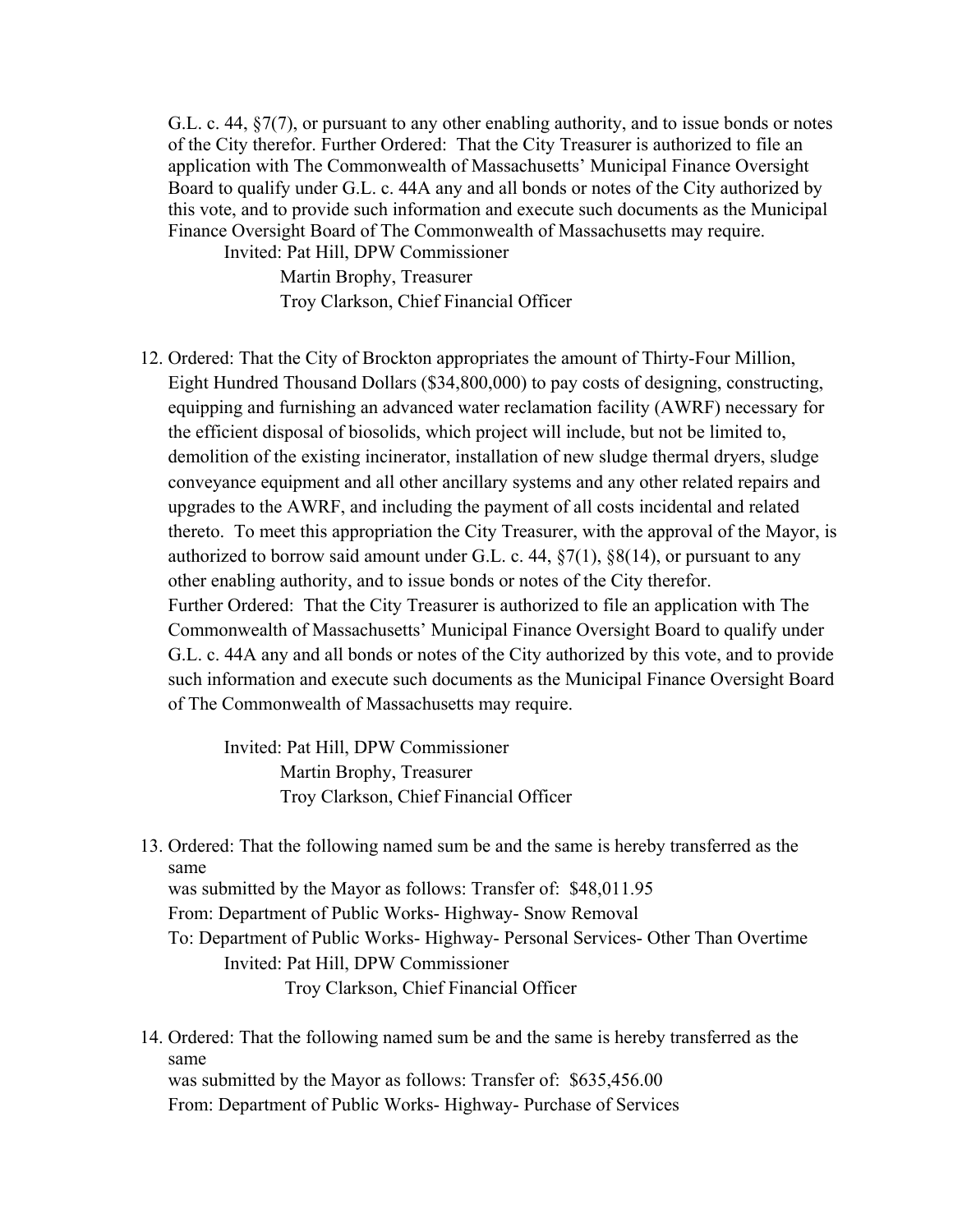G.L. c. 44, §7(7), or pursuant to any other enabling authority, and to issue bonds or notes of the City therefor. Further Ordered: That the City Treasurer is authorized to file an application with The Commonwealth of Massachusetts' Municipal Finance Oversight Board to qualify under G.L. c. 44A any and all bonds or notes of the City authorized by this vote, and to provide such information and execute such documents as the Municipal Finance Oversight Board of The Commonwealth of Massachusetts may require. Invited: Pat Hill, DPW Commissioner

Martin Brophy, Treasurer Troy Clarkson, Chief Financial Officer

12. Ordered: That the City of Brockton appropriates the amount of Thirty-Four Million, Eight Hundred Thousand Dollars (\$34,800,000) to pay costs of designing, constructing, equipping and furnishing an advanced water reclamation facility (AWRF) necessary for the efficient disposal of biosolids, which project will include, but not be limited to, demolition of the existing incinerator, installation of new sludge thermal dryers, sludge conveyance equipment and all other ancillary systems and any other related repairs and upgrades to the AWRF, and including the payment of all costs incidental and related thereto. To meet this appropriation the City Treasurer, with the approval of the Mayor, is authorized to borrow said amount under G.L. c. 44,  $\S7(1)$ ,  $\S8(14)$ , or pursuant to any other enabling authority, and to issue bonds or notes of the City therefor. Further Ordered: That the City Treasurer is authorized to file an application with The Commonwealth of Massachusetts' Municipal Finance Oversight Board to qualify under G.L. c. 44A any and all bonds or notes of the City authorized by this vote, and to provide such information and execute such documents as the Municipal Finance Oversight Board of The Commonwealth of Massachusetts may require.

> Invited: Pat Hill, DPW Commissioner Martin Brophy, Treasurer Troy Clarkson, Chief Financial Officer

- same 13. Ordered: That the following named sum be and the same is hereby transferred as the was submitted by the Mayor as follows: Transfer of: \$48,011.95 From: Department of Public Works- Highway- Snow Removal To: Department of Public Works- Highway- Personal Services- Other Than Overtime Invited: Pat Hill, DPW Commissioner Troy Clarkson, Chief Financial Officer
- same 14. Ordered: That the following named sum be and the same is hereby transferred as the was submitted by the Mayor as follows: Transfer of: \$635,456.00 From: Department of Public Works- Highway- Purchase of Services